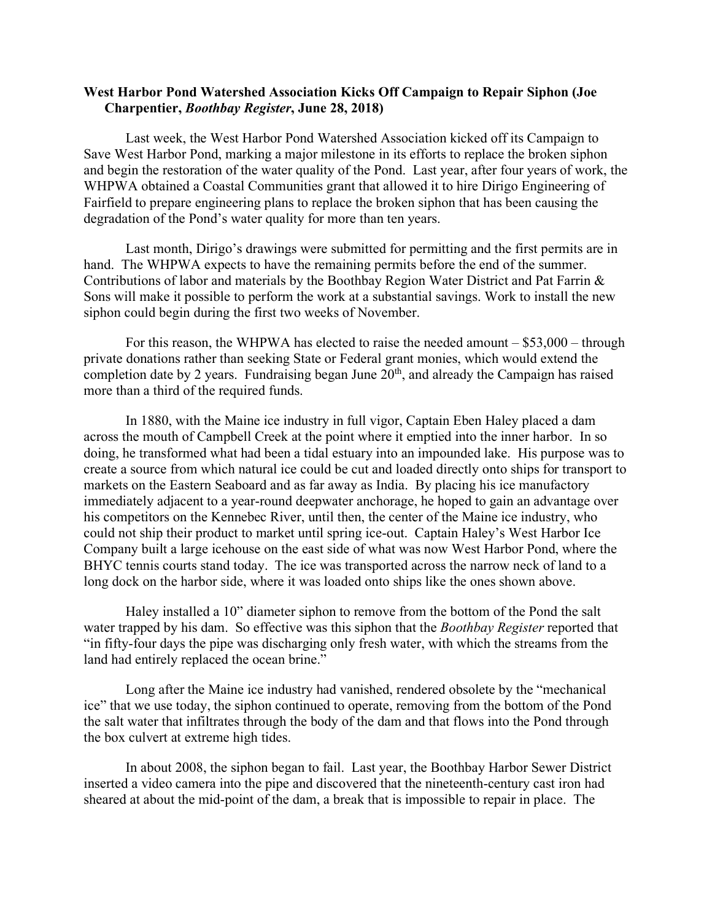## **West Harbor Pond Watershed Association Kicks Off Campaign to Repair Siphon (Joe Charpentier,** *Boothbay Register***, June 28, 2018)**

Last week, the West Harbor Pond Watershed Association kicked off its Campaign to Save West Harbor Pond, marking a major milestone in its efforts to replace the broken siphon and begin the restoration of the water quality of the Pond. Last year, after four years of work, the WHPWA obtained a Coastal Communities grant that allowed it to hire Dirigo Engineering of Fairfield to prepare engineering plans to replace the broken siphon that has been causing the degradation of the Pond's water quality for more than ten years.

Last month, Dirigo's drawings were submitted for permitting and the first permits are in hand. The WHPWA expects to have the remaining permits before the end of the summer. Contributions of labor and materials by the Boothbay Region Water District and Pat Farrin & Sons will make it possible to perform the work at a substantial savings. Work to install the new siphon could begin during the first two weeks of November.

For this reason, the WHPWA has elected to raise the needed amount – \$53,000 – through private donations rather than seeking State or Federal grant monies, which would extend the completion date by 2 years. Fundraising began June  $20<sup>th</sup>$ , and already the Campaign has raised more than a third of the required funds.

In 1880, with the Maine ice industry in full vigor, Captain Eben Haley placed a dam across the mouth of Campbell Creek at the point where it emptied into the inner harbor. In so doing, he transformed what had been a tidal estuary into an impounded lake. His purpose was to create a source from which natural ice could be cut and loaded directly onto ships for transport to markets on the Eastern Seaboard and as far away as India. By placing his ice manufactory immediately adjacent to a year-round deepwater anchorage, he hoped to gain an advantage over his competitors on the Kennebec River, until then, the center of the Maine ice industry, who could not ship their product to market until spring ice-out. Captain Haley's West Harbor Ice Company built a large icehouse on the east side of what was now West Harbor Pond, where the BHYC tennis courts stand today. The ice was transported across the narrow neck of land to a long dock on the harbor side, where it was loaded onto ships like the ones shown above.

Haley installed a 10" diameter siphon to remove from the bottom of the Pond the salt water trapped by his dam. So effective was this siphon that the *Boothbay Register* reported that "in fifty-four days the pipe was discharging only fresh water, with which the streams from the land had entirely replaced the ocean brine."

Long after the Maine ice industry had vanished, rendered obsolete by the "mechanical ice" that we use today, the siphon continued to operate, removing from the bottom of the Pond the salt water that infiltrates through the body of the dam and that flows into the Pond through the box culvert at extreme high tides.

In about 2008, the siphon began to fail. Last year, the Boothbay Harbor Sewer District inserted a video camera into the pipe and discovered that the nineteenth-century cast iron had sheared at about the mid-point of the dam, a break that is impossible to repair in place. The